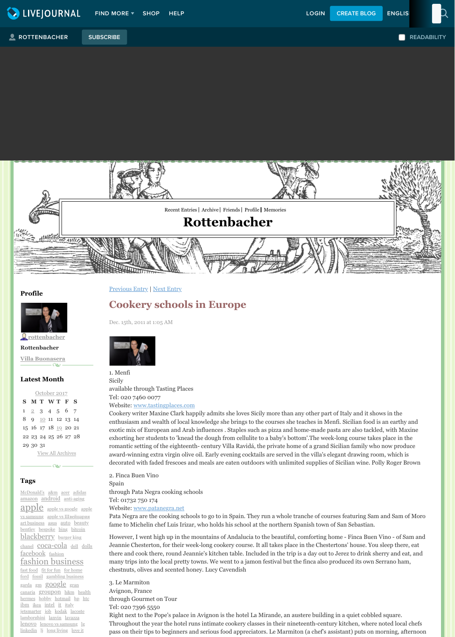1. Menfi Sicily available through Tasting Places Tel: 020 7460 0077 Website: [www.tastingplaces.com](http://www.tastingplaces.com/)

Cookery writer Maxine Clark happily admits she loves Sicily more than any other part of Italy and it shows in the enthusiasm and wealth of local knowledge she brings to the courses she teaches in Menfi. Sicilian food is an earthy and exotic mix of European and Arab influences . Staples such as pizza and home-made pasta are also tackled, with Maxine exhorting her students to 'knead the dough from cellulite to a baby's bottom'.The week-long course takes place in the romantic setting of the eighteenth- century Villa Ravidá, the private home of a grand Sicilian family who now produce award-winning extra virgin olive oil. Early evening cocktails are served in the villa's elegant drawing room, which is decorated with faded frescoes and meals are eaten outdoors with unlimited supplies of Sicilian wine. Polly Roger Brown

#### 2. Finca Buen Vino

#### Spain

through Pata Negra cooking schools

Tel: 01732 750 174

Website: [www.patanegra.net](http://www.patanegra.net/)

Pata Negra are the cooking schools to go to in Spain. They run a whole tranche of courses featuring Sam and Sam of Moro fame to Michelin chef Luis Irizar, who holds his school at the northern Spanish town of San Sebastian.

 $1 \t2 \t3 \t4 \t5 \t6 \t7$  $1 \t2 \t3 \t4 \t5 \t6 \t7$  $1 \t2 \t3 \t4 \t5 \t6 \t7$ 8 9 [10](https://rottenbacher.livejournal.com/2017/10/10/) 11 12 13 14 15 16 17 18 [19](https://rottenbacher.livejournal.com/2017/10/19/) 20 21 22 23 24 25 26 27 28 29 30 31 [View All Archives](https://rottenbacher.livejournal.com/calendar)

 $\infty$ 

However, I went high up in the mountains of Andalucia to the beautiful, comforting home - Finca Buen Vino - of Sam and Jeannie Chesterton, for their week-long cookery course. It all takes place in the Chestertons' house. You sleep there, eat there and cook there, round Jeannie's kitchen table. Included in the trip is a day out to Jerez to drink sherry and eat, and many trips into the local pretty towns. We went to a jamon festival but the finca also produced its own Serrano ham, chestnuts, olives and scented honey. Lucy Cavendish

3. Le Marmiton

Avignon, France

through Gourmet on Tour

### Tel: 020 7396 5550

Right next to the Pope's palace in Avignon is the hotel La Mirande, an austere building in a quiet cobbled square. Throughout the year the hotel runs intimate cookery classes in their nineteenth-century kitchen, where noted local chefs pass on their tips to beginners and serious food appreciators. Le Marmiton (a chef's assistant) puts on morning, afternoon

Dec. 15th, 2011 at 1:05 AM



**[rottenbacher](https://rottenbacher.livejournal.com/)**

**Rottenbacher**

**[Villa Buonasera](http://www.villabuonasera.it/)**

**Latest Month**

[October 2017](https://rottenbacher.livejournal.com/2017/10/) **S M T W T F S**

### **Tags**



[McDonald's](https://rottenbacher.livejournal.com/tag/McDonald%E2%80%99s) [a&m](https://rottenbacher.livejournal.com/tag/a%26m) [acer](https://rottenbacher.livejournal.com/tag/acer) [adidas](https://rottenbacher.livejournal.com/tag/adidas) [amazon](https://rottenbacher.livejournal.com/tag/amazon) [android](https://rottenbacher.livejournal.com/tag/android) [anti-aging](https://rottenbacher.livejournal.com/tag/anti-aging) [apple](https://rottenbacher.livejournal.com/tag/apple) [a](https://rottenbacher.livejournal.com/tag/apple%20vs%20samsung)[pple vs google](https://rottenbacher.livejournal.com/tag/apple%20vs%20google) apple vs samsung apple vs [Швейцария](https://rottenbacher.livejournal.com/tag/apple%20vs%20%D0%A8%D0%B2%D0%B5%D0%B9%D1%86%D0%B0%D1%80%D0%B8%D1%8F) [art business](https://rottenbacher.livejournal.com/tag/art%20business) [asus](https://rottenbacher.livejournal.com/tag/asus) [auto](https://rottenbacher.livejournal.com/tag/auto) [beauty](https://rottenbacher.livejournal.com/tag/beauty) [bentley](https://rottenbacher.livejournal.com/tag/bentley) [bespoke](https://rottenbacher.livejournal.com/tag/bespoke) [bing](https://rottenbacher.livejournal.com/tag/bing) [bitcoin](https://rottenbacher.livejournal.com/tag/bitcoin) [blackberry](https://rottenbacher.livejournal.com/tag/blackberry) [burger king](https://rottenbacher.livejournal.com/tag/burger%20king) [chanel](https://rottenbacher.livejournal.com/tag/chanel) **COCA-COlA** [dell](https://rottenbacher.livejournal.com/tag/dell) [dolls](https://rottenbacher.livejournal.com/tag/dolls) [facebook](https://rottenbacher.livejournal.com/tag/facebook) [fashion](https://rottenbacher.livejournal.com/tag/fashion) [fashion business](https://rottenbacher.livejournal.com/tag/fashion%20business) [fast food](https://rottenbacher.livejournal.com/tag/fast%20food) [fit for fun](https://rottenbacher.livejournal.com/tag/fit%20for%20fun) [for home](https://rottenbacher.livejournal.com/tag/for%20home) [ford](https://rottenbacher.livejournal.com/tag/ford) [fossil](https://rottenbacher.livejournal.com/tag/fossil) [gambling business](https://rottenbacher.livejournal.com/tag/gambling%20business) [garda](https://rottenbacher.livejournal.com/tag/garda) [gm](https://rottenbacher.livejournal.com/tag/gm) **[google](https://rottenbacher.livejournal.com/tag/google)** gran canaria [groupon](https://rottenbacher.livejournal.com/tag/groupon) [h&m](https://rottenbacher.livejournal.com/tag/h%26m) [health](https://rottenbacher.livejournal.com/tag/health) [hermes](https://rottenbacher.livejournal.com/tag/hermes) [hobby](https://rottenbacher.livejournal.com/tag/hobby) [hotmail](https://rottenbacher.livejournal.com/tag/hotmail) [hp](https://rottenbacher.livejournal.com/tag/hp) [htc](https://rottenbacher.livejournal.com/tag/htc) [ibm](https://rottenbacher.livejournal.com/tag/ibm) [ikea](https://rottenbacher.livejournal.com/tag/ikea) [intel](https://rottenbacher.livejournal.com/tag/intel) [it](https://rottenbacher.livejournal.com/tag/it) [italy](https://rottenbacher.livejournal.com/tag/italy) [jetsmarter](https://rottenbacher.livejournal.com/tag/jetsmarter) [job](https://rottenbacher.livejournal.com/tag/job) [kodak](https://rottenbacher.livejournal.com/tag/kodak) [lacoste](https://rottenbacher.livejournal.com/tag/lacoste) [lamborghini](https://rottenbacher.livejournal.com/tag/lamborghini) [lanvin](https://rottenbacher.livejournal.com/tag/lanvin) [lavazza](https://rottenbacher.livejournal.com/tag/lavazza) [lenovo](https://rottenbacher.livejournal.com/tag/lenovo) [lenovo vs samsung](https://rottenbacher.livejournal.com/tag/lenovo%20vs%20samsung) [lg](https://rottenbacher.livejournal.com/tag/lg) [linkedin](https://rottenbacher.livejournal.com/tag/linkedin) [lj](https://rottenbacher.livejournal.com/tag/lj) [long living](https://rottenbacher.livejournal.com/tag/long%20living) [love it](https://rottenbacher.livejournal.com/tag/love%20it)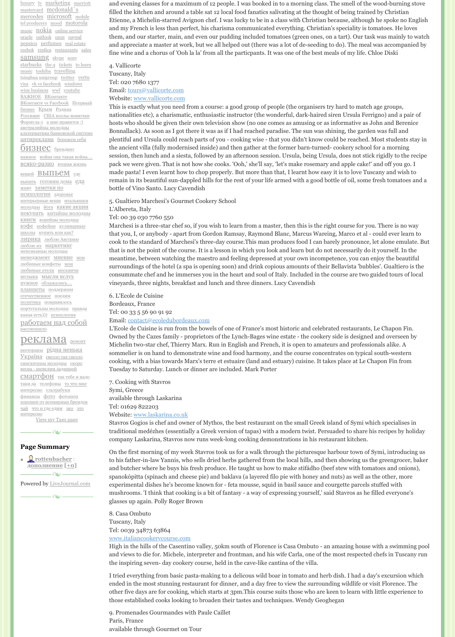and evening classes for a maximum of 12 people. I was booked in to a morning class. The smell of the wood-burning stove filled the kitchen and around a table sat 12 local food fanatics salivating at the thought of being trained by Christian Etienne, a Michelin-starred Avignon chef. I was lucky to be in a class with Christian because, although he spoke no English and my French is less than perfect, his charisma communicated everything. Christian's speciality is tomatoes. He loves them, and our starter, main, and even our pudding included tomatoes (green ones, on a tart). Our task was mainly to watch and appreciate a master at work, but we all helped out (there was a lot of de-seeding to do). The meal was accompanied by fine wine and a chorus of 'Ooh la la' from all the particpants. It was one of the best meals of my life. Chloe Diski

#### 4. Vallicorte

Tuscany, Italy Tel: 020 7680 1377 Email: [tours@vallicorte.com](mailto:tours@vallicorte.com) Website: [www.vallicorte.com](http://www.vallicorte.com/)

This is exactly what you need from a course: a good group of people (the organisers try hard to match age groups, nationalities etc), a charismatic, enthusiastic instructor (the wonderful, dark-haired siren Ursula Ferrigno) and a pair of hosts who should be given their own television show (no one comes as amusing or as informative as John and Berenice Bonnallack). As soon as I got there it was as if I had reached paradise. The sun was shining, the garden was full and plentiful and Ursula could reach parts of you - cooking wise - that you didn't know could be reached. Most students stay in the ancient villa (fully modernised inside) and then gather at the former barn-turned- cookery school for a morning session, then lunch and a siesta, followed by an afternoon session. Ursula, being Ursula, does not stick rigidly to the recipe pack we were given. That is not how she cooks. 'Ooh,' she'll say, 'let's make rosemary and apple cake!' and off you go. I made pasta! I even learnt how to chop properly. But more than that, I learnt how easy it is to love Tuscany and wish to remain in its beautiful sun-dappled hills for the rest of your life armed with a good bottle of oil, some fresh tomatoes and a bottle of Vino Santo. Lucy Cavendish

5. Gualtiero Marchesi's Gourmet Cookery School

L'Albereta, Italy

## Tel: 00 39 030 7760 550

Marchesi is a three-star chef so, if you wish to learn from a master, then this is the right course for you. There is no way that you, I, or anybody - apart from Gordon Ramsay, Raymond Blanc, Marcus Wareing, Marco et al - could ever learn to cook to the standard of Marchesi's three-day course.This man produces food I can barely pronounce, let alone emulate. But that is not the point of the course. It is a lesson in which you look and learn but do not necessarily do it yourself. In the meantime, between watching the maestro and feeling depressed at your own incompetence, you can enjoy the beautiful surroundings of the hotel (a spa is opening soon) and drink copious amounts of their Bellavista 'bubbles'. Gualtiero is the consummate chef and he immerses you in the heart and soul of Italy. Included in the course are two guided tours of local vineyards, three nights, breakfast and lunch and three dinners. Lucy Cavendish

## 6. L'Ecole de Cuisine Bordeaux, France Tel: 00 33 5 56 90 91 92

Email: [contact@ecoledubordeaux.com](mailto:contact@ecoledubordeaux.com)

<u>[luxury](https://rottenbacher.livejournal.com/tag/luxury) [lv](https://rottenbacher.livejournal.com/tag/lv)</u> [marketing](https://rottenbacher.livejournal.com/tag/marketing) [marriott](https://rottenbacher.livejournal.com/tag/marriott) [mastercard](https://rottenbacher.livejournal.com/tag/mastercard) [mcdonald`s](https://rottenbacher.livejournal.com/tag/mcdonald%60s) [mercedes](https://rottenbacher.livejournal.com/tag/mercedes) [microsoft](https://rottenbacher.livejournal.com/tag/microsoft) mobile tel producers [mood](https://rottenbacher.livejournal.com/tag/mood) [motorola](https://rottenbacher.livejournal.com/tag/motorola) [music](https://rottenbacher.livejournal.com/tag/music) [nokia](https://rottenbacher.livejournal.com/tag/nokia) [online service](https://rottenbacher.livejournal.com/tag/online%20service) [oracle](https://rottenbacher.livejournal.com/tag/oracle) [outlook](https://rottenbacher.livejournal.com/tag/outlook) [ozon](https://rottenbacher.livejournal.com/tag/ozon) [paypal](https://rottenbacher.livejournal.com/tag/paypal) [pepsico](https://rottenbacher.livejournal.com/tag/pepsico) [perfumes](https://rottenbacher.livejournal.com/tag/perfumes) [real estate](https://rottenbacher.livejournal.com/tag/real%20estate) [reebok](https://rottenbacher.livejournal.com/tag/reebok) [replica](https://rottenbacher.livejournal.com/tag/replica) [restaurants](https://rottenbacher.livejournal.com/tag/restaurants) [sales](https://rottenbacher.livejournal.com/tag/sales) [samsung](https://rottenbacher.livejournal.com/tag/samsung) [skype](https://rottenbacher.livejournal.com/tag/skype) [sony](https://rottenbacher.livejournal.com/tag/sony) [starbucks](https://rottenbacher.livejournal.com/tag/to%20learn%20music) [the q](https://rottenbacher.livejournal.com/tag/the%20q) [tickets](https://rottenbacher.livejournal.com/tag/tickets) to learn music [toshiba](https://rottenbacher.livejournal.com/tag/toshiba) [travelling](https://rottenbacher.livejournal.com/tag/travelling) [tsinghua unigroup](https://rottenbacher.livejournal.com/tag/tsinghua%20unigroup) [twitter](https://rottenbacher.livejournal.com/tag/twitter) [vertu](https://rottenbacher.livejournal.com/tag/vertu) [visa](https://rottenbacher.livejournal.com/tag/visa) [vk vs facebook](https://rottenbacher.livejournal.com/tag/vk%20vs%20facebook) [windows](https://rottenbacher.livejournal.com/tag/windows) [wine business](https://rottenbacher.livejournal.com/tag/wine%20business) [wwf](https://rottenbacher.livejournal.com/tag/wwf) [youtube](https://rottenbacher.livejournal.com/tag/youtube) [ВАЖНОЕ](https://rottenbacher.livejournal.com/tag/%D0%92%D0%90%D0%96%D0%9D%D0%9E%D0%95) [ВКонтакте](https://rottenbacher.livejournal.com/tag/%D0%92%D0%9A%D0%BE%D0%BD%D1%82%D0%B0%D0%BA%D1%82%D0%B5) ВКонтакте [vs Faceboo](https://rottenbacher.livejournal.com/tag/%D0%92%D0%9A%D0%BE%D0%BD%D1%82%D0%B0%D0%BA%D1%82%D0%B5%20vs%20Facebook)[k](https://rottenbacher.livejournal.com/tag/%D0%98%D0%B3%D0%BE%D1%80%D0%BD%D1%8B%D0%B9%20%D0%B1%D0%B8%D0%B7%D0%BD%D0%B5%D1%81) Игорный бизнес [Крым](https://rottenbacher.livejournal.com/tag/%D0%9A%D1%80%D1%8B%D0%BC) [Родина](https://rottenbacher.livejournal.com/tag/%D0%A0%D0%BE%D0%B4%D0%B8%D0%BD%D0%B0) [Россияне](https://rottenbacher.livejournal.com/tag/%D0%A0%D0%BE%D1%81%D1%81%D0%B8%D1%8F%D0%BD%D0%B5) США козлы-[вонючки](https://rottenbacher.livejournal.com/tag/%D0%A1%D0%A8%D0%90%20%D0%BA%D0%BE%D0%B7%D0%BB%D1%8B-%D0%B2%D0%BE%D0%BD%D1%8E%D1%87%D0%BA%D0%B8) [Формула](https://rottenbacher.livejournal.com/tag/%D0%A4%D0%BE%D1%80%D0%BC%D1%83%D0%BB%D0%B0-1)-1 а мне [нравится](https://rottenbacher.livejournal.com/tag/%D0%B0%20%D0%BC%D0%BD%D0%B5%20%D0%BD%D1%80%D0%B0%D0%B2%D0%B8%D1%82%D1%81%D1%8F%20%3A%29) :) [австралийцы](https://rottenbacher.livejournal.com/tag/%D0%B0%D0%B2%D1%81%D1%82%D1%80%D0%B0%D0%BB%D0%B8%D0%B9%D1%86%D1%8B%20%D0%BC%D0%BE%D0%BB%D0%BE%D0%B4%D1%86%D1%8B) молодцы [альтернатива](https://rottenbacher.livejournal.com/tag/%D0%B0%D0%BB%D1%8C%D1%82%D0%B5%D1%80%D0%BD%D0%B0%D1%82%D0%B8%D0%B2%D0%B0%20%D0%B1%D0%B0%D0%BD%D0%BA%D0%BE%D0%B2%D1%81%D0%BA%D0%BE%D0%B9%20%D1%81%D0%B8%D1%81%D1%82%D0%B5%D0%BC%D0%B5) банковской системе [антиреклама](https://rottenbacher.livejournal.com/tag/%D0%B0%D0%BD%D1%82%D0%B8%D1%80%D0%B5%D0%BA%D0%BB%D0%B0%D0%BC%D0%B0) [бережем](https://rottenbacher.livejournal.com/tag/%D0%B1%D0%B5%D1%80%D0%B5%D0%B6%D0%B5%D0%BC%20%D1%81%D0%B5%D0%B1%D1%8F) себя

> L'Ecole de Cuisine is run from the bowels of one of France's most historic and celebrated restaurants, Le Chapon Fin. Owned by the Cazes family - proprietors of the Lynch-Bages wine estate - the cookery side is designed and overseen by Michelin two-star chef, Thierry Marx. Run in English and French, it is open to amateurs and professionals alike. A sommelier is on hand to demonstrate wine and food harmony, and the course concentrates on typical south-western cooking, with a bias towards Marx's terre et estuaire (land and estuary) cuisine. It takes place at Le Chapon Fin from Tuesday to Saturday. Lunch or dinner are included. Mark Porter

[смартфон](https://rottenbacher.livejournal.com/tag/%D1%81%D0%BC%D0%B0%D1%80%D1%82%D1%84%D0%BE%D0%BD) так тебе <sup>и</sup> [надо](https://rottenbacher.livejournal.com/tag/%D1%82%D0%B0%D0%BA%20%D1%82%D0%B5%D0%B1%D0%B5%20%D0%B8%20%D0%BD%D0%B0%D0%B4%D0%BE) [таки](https://rottenbacher.livejournal.com/tag/%D1%82%D0%B0%D0%BA%D0%B8%20%D0%B4%D0%B0) да [телефоны](https://rottenbacher.livejournal.com/tag/%D1%82%D0%B5%D0%BB%D0%B5%D1%84%D0%BE%D0%BD%D1%8B) то что мне интересно [ультрабуки](https://rottenbacher.livejournal.com/tag/%D1%82%D0%BE%20%D1%87%D1%82%D0%BE%20%D0%BC%D0%BD%D0%B5%20%D0%B8%D0%BD%D1%82%D0%B5%D1%80%D0%B5%D1%81%D0%BD%D0%BE) [финансы](https://rottenbacher.livejournal.com/tag/%D1%84%D0%B8%D0%BD%D0%B0%D0%BD%D1%81%D1%8B) [фото](https://rottenbacher.livejournal.com/tag/%D1%84%D0%BE%D1%82%D0%BE) [фотошоп](https://rottenbacher.livejournal.com/tag/%D1%84%D0%BE%D1%82%D0%BE%D1%88%D0%BE%D0%BF) хорошее от [всемирных](https://rottenbacher.livejournal.com/tag/%D1%85%D0%BE%D1%80%D0%BE%D1%88%D0%B5%D0%B5%20%D0%BE%D1%82%20%D0%B2%D1%81%D0%B5%D0%BC%D0%B8%D1%80%D0%BD%D1%8B%D1%85%20%D0%B1%D1%80%D0%B5%D0%BD%D0%B4%D0%BE%D0%B2) брендов [чай](https://rottenbacher.livejournal.com/tag/%D1%87%D0%B0%D0%B9) что и где [едим](https://rottenbacher.livejournal.com/tag/%D1%87%D1%82%D0%BE%20%D0%B8%20%D0%B3%D0%B4%D0%B5%20%D0%B5%D0%B4%D0%B8%D0%BC) [эко](https://rottenbacher.livejournal.com/tag/%D1%8D%D0%BA%D0%BE) это

7. Cooking with Stavros Symi, Greece available through Laskarina Tel: 01629 822203

### Website: [www.laskarina.co.uk](http://www.laskarina.co.uk/)

Stavros Gogios is chef and owner of Mythos, the best restaurant on the small Greek island of Symi which specialises in traditional medézhes (essentially a Greek version of tapas) with a modern twist. Persuaded to share his recipes by holiday company Laskarina, Stavros now runs week-long cooking demonstrations in his restaurant kitchen.

On the first morning of my week Stavros took us for a walk through the picturesque harbour town of Symi, introducing us to his father-in-law Yannis, who sells dried herbs gathered from the local hills, and then showing us the greengrocer, baker and butcher where he buys his fresh produce. He taught us how to make stifádho (beef stew with tomatoes and onions), spanokópitta (spinach and cheese pie) and baklava (a layered filo pie with honey and nuts) as well as the other, more experimental dishes he's become known for - feta mousse, squid in basil sauce and courgette parcels stuffed with mushrooms. 'I think that cooking is a bit of fantasy - a way of expressing yourself,' said Stavros as he filled everyone's glasses up again. Polly Roger Brown

8. Casa Ombuto

Tuscany, Italy

Tel: 0039 34873 63864

[www.italiancookerycourse.com](http://www.italiancookerycourse.com/)

High in the hills of the Casentino valley, 50km south of Florence is Casa Ombuto - an amazing house with a swimming pool and views to die for. Michele, interpreter and frontman, and his wife Carla, one of the most respected chefs in Tuscany run the inspiring seven- day cookery course, held in the cave-like cantina of the villa.

I tried everything from basic pasta-making to a delicous wild boar in tomato and herb dish. I had a day's excursion which ended in the most stunning restaurant for dinner, and a day free to view the surrounding wildlife or visit Florence. The other five days are for cooking, which starts at 3pm.This course suits those who are keen to learn with little experience to those established cooks looking to broaden their tastes and techniques. Wendy Geoghegan

9. Promenades Gourmandes with Paule Caillet Paris, France available through Gourmet on Tour

[бизнес](https://rottenbacher.livejournal.com/tag/%D0%B1%D0%B8%D0%B7%D0%BD%D0%B5%D1%81) [брендинг](https://rottenbacher.livejournal.com/tag/%D0%B1%D1%80%D0%B5%D0%BD%D0%B4%D0%B8%D0%BD%D0%B3) [важное](https://rottenbacher.livejournal.com/tag/%D0%B2%D0%B0%D0%B6%D0%BD%D0%BE%D0%B5) [война](https://rottenbacher.livejournal.com/tag/%D0%B2%D0%BE%D0%B9%D0%BD%D0%B0%20%D0%BE%D0%BD%D0%B0%20%D1%82%D0%B0%D0%BA%D0%B0%D1%8F%20%D0%B2%D0%BE%D0%B9%D0%BD%D0%B0....) она такая война.... всяко-[разно](https://rottenbacher.livejournal.com/tag/%D0%B2%D1%81%D1%8F%D0%BA%D0%BE-%D1%80%D0%B0%D0%B7%D0%BD%D0%BE) вторая жизнь

вещей ВЫПЬЕМ где

выпить [готовим](https://rottenbacher.livejournal.com/tag/%D0%B3%D0%BE%D1%82%D0%BE%D0%B2%D0%B8%D0%BC%20%D0%B4%D0%BE%D0%BC%D0%B0) дома [еда](https://rottenbacher.livejournal.com/tag/%D0%B5%D0%B4%D0%B0) [живу](https://rottenbacher.livejournal.com/tag/%D0%B6%D0%B8%D0%B2%D1%83) заметки по [психологии](https://rottenbacher.livejournal.com/tag/%D0%B7%D0%B0%D0%BC%D0%B5%D1%82%D0%BA%D0%B8%20%D0%BF%D0%BE%20%D0%BF%D1%81%D0%B8%D1%85%D0%BE%D0%BB%D0%BE%D0%B3%D0%B8%D0%B8) [здоровье](https://rottenbacher.livejournal.com/tag/%D0%B7%D0%B4%D0%BE%D1%80%D0%BE%D0%B2%D1%8C%D0%B5) [интерьерные](https://rottenbacher.livejournal.com/tag/%D0%B8%D0%BD%D1%82%D0%B5%D1%80%D1%8C%D0%B5%D1%80%D0%BD%D1%8B%D0%B5%20%D0%B2%D0%B5%D1%89%D0%B8) вещи итальяшки молодцы [йога](https://rottenbacher.livejournal.com/tag/%D0%B9%D0%BE%D0%B3%D0%B0) какие акции [покупать](https://rottenbacher.livejournal.com/tag/%D0%BA%D0%B0%D0%BA%D0%B8%D0%B5%20%D0%B0%D0%BA%D1%86%D0%B8%D0%B8%20%D0%BF%D0%BE%D0%BA%D1%83%D0%BF%D0%B0%D1%82%D1%8C) китайцы [молодцы](https://rottenbacher.livejournal.com/tag/%D0%BA%D0%B8%D1%82%D0%B0%D0%B9%D1%86%D1%8B%20%D0%BC%D0%BE%D0%BB%D0%BE%D0%B4%D1%86%D1%8B) [книги](https://rottenbacher.livejournal.com/tag/%D0%BA%D0%BD%D0%B8%D0%B3%D0%B8) корейцы [молодцы](https://rottenbacher.livejournal.com/tag/%D0%BA%D0%BE%D1%80%D0%B5%D0%B9%D1%86%D1%8B%20%D0%BC%D0%BE%D0%BB%D0%BE%D0%B4%D1%86%D1%8B) [кофе](https://rottenbacher.livejournal.com/tag/%D0%BA%D0%BE%D1%84%D0%B5) [кофейни](https://rottenbacher.livejournal.com/tag/%D0%BA%D0%BE%D1%84%D0%B5%D0%B9%D0%BD%D0%B8) [кулинарные](https://rottenbacher.livejournal.com/tag/%D0%BA%D1%83%D0%BB%D0%B8%D0%BD%D0%B0%D1%80%D0%BD%D1%8B%D0%B5%20%D1%88%D0%BA%D0%BE%D0%BB%D1%8B) школы [купить](https://rottenbacher.livejournal.com/tag/%D0%BA%D1%83%D0%BF%D0%B8%D1%82%D1%8C%20%D0%B8%D0%BB%D0%B8%20%D0%BA%D0%B0%D0%BA%3F) или как? [лирика](https://rottenbacher.livejournal.com/tag/%D0%BB%D0%B8%D1%80%D0%B8%D0%BA%D0%B0) люблю [Австрию](https://rottenbacher.livejournal.com/tag/%D0%BB%D1%8E%D0%B1%D0%BB%D1%8E%20%D0%90%D0%B2%D1%81%D1%82%D1%80%D0%B8%D1%8E) [люблю](https://rottenbacher.livejournal.com/tag/%D0%BB%D1%8E%D0%B1%D0%BB%D1%8E%20%D0%B8%D1%85) их [маркетинг](https://rottenbacher.livejournal.com/tag/%D0%BC%D0%B0%D1%80%D0%BA%D0%B5%D1%82%D0%B8%D0%BD%D0%B3) [мексиканцы](https://rottenbacher.livejournal.com/tag/%D0%BC%D0%B5%D0%BA%D1%81%D0%B8%D0%BA%D0%B0%D0%BD%D1%86%D1%8B%20%D0%BC%D0%BE%D0%BB%D0%BE%D0%B4%D1%86%D1%8B) молодцы [менеджмент](https://rottenbacher.livejournal.com/tag/%D0%BC%D0%BE%D0%B8%20%D0%BB%D1%8E%D0%B1%D0%B8%D0%BC%D1%8B%D0%B5%20%D0%BA%D0%BE%D0%BD%D1%84%D0%B5%D1%82%D1%8B) [мнение](https://rottenbacher.livejournal.com/tag/%D0%BC%D0%BD%D0%B5%D0%BD%D0%B8%D0%B5) мои [любимые](https://rottenbacher.livejournal.com/tag/%D0%BC%D0%BE%D0%B8%20%D0%BB%D1%8E%D0%B1%D0%B8%D0%BC%D1%8B%D0%B5%20%D0%BE%D1%82%D0%B5%D0%BB%D0%B8) конфеты мои любимые отели [москвичи](https://rottenbacher.livejournal.com/tag/%D0%BC%D0%BE%D1%81%D0%BA%D0%B2%D0%B8%D1%87%D0%B8) [музыка](https://rottenbacher.livejournal.com/tag/%D0%BC%D1%83%D0%B7%D1%8B%D0%BA%D0%B0) [мысли](https://rottenbacher.livejournal.com/tag/%D0%BC%D1%8B%D1%81%D0%BB%D0%B8%20%D0%B2%D1%81%D0%BB%D1%83%D1%85) вслух [нужное](https://rottenbacher.livejournal.com/tag/%D0%BD%D1%83%D0%B6%D0%BD%D0%BE%D0%B5) [облажались](https://rottenbacher.livejournal.com/tag/%D0%BE%D0%B1%D0%BB%D0%B0%D0%B6%D0%B0%D0%BB%D0%B8%D1%81%D1%8C....).... [планшеты](https://rottenbacher.livejournal.com/tag/%D0%BF%D0%BB%D0%B0%D0%BD%D1%88%D0%B5%D1%82%D1%8B) поддержим [отечественное](https://rottenbacher.livejournal.com/tag/%D0%BF%D0%BE%D0%B4%D0%B4%D0%B5%D1%80%D0%B6%D0%B8%D0%BC%20%D0%BE%D1%82%D0%B5%D1%87%D0%B5%D1%81%D1%82%D0%B2%D0%B5%D0%BD%D0%BD%D0%BE%D0%B5) [поедим](https://rottenbacher.livejournal.com/tag/%D0%BF%D0%BE%D0%B5%D0%B4%D0%B8%D0%BC) [политика](https://rottenbacher.livejournal.com/tag/%D0%BF%D0%BE%D0%BB%D0%B8%D1%82%D0%B8%D0%BA%D0%B0) [понравилось](https://rottenbacher.livejournal.com/tag/%D0%BF%D0%BE%D0%BD%D1%80%D0%B0%D0%B2%D0%B8%D0%BB%D0%BE%D1%81%D1%8C) [португальцы](https://rottenbacher.livejournal.com/tag/%D0%BF%D0%BE%D1%80%D1%82%D1%83%D0%B3%D0%B0%D0%BB%D1%8C%D1%86%D1%8B%20%D0%BC%D0%BE%D0%BB%D0%BE%D0%B4%D1%86%D1%8B) молодцы правда какая есть))) [психология](https://rottenbacher.livejournal.com/tag/%D0%BF%D1%81%D0%B8%D1%85%D0%BE%D0%BB%D0%BE%D0%B3%D0%B8%D1%8F) [работаем](https://rottenbacher.livejournal.com/tag/%D1%80%D0%B0%D0%B1%D0%BE%D1%82%D0%B0%D0%B5%D0%BC%20%D0%BD%D0%B0%D0%B4%20%D1%81%D0%BE%D0%B1%D0%BE%D0%B9) над собой [рассмешило](https://rottenbacher.livejournal.com/tag/%D1%80%D0%B0%D1%81%D1%81%D0%BC%D0%B5%D1%88%D0%B8%D0%BB%D0%BE)

## [реклама](https://rottenbacher.livejournal.com/tag/%D1%80%D0%B5%D0%BA%D0%BB%D0%B0%D0%BC%D0%B0) [ремонт](https://rottenbacher.livejournal.com/tag/%D1%80%D0%B5%D0%BC%D0%BE%D0%BD%D1%82)

[рестораны](https://rottenbacher.livejournal.com/tag/%D1%80%D0%B5%D1%81%D1%82%D0%BE%D1%80%D0%B0%D0%BD%D1%8B) рідна ненька [Україна](https://rottenbacher.livejournal.com/tag/%D1%80%D1%96%D0%B4%D0%BD%D0%B0%20%D0%BD%D0%B5%D0%BD%D1%8C%D0%BA%D0%B0%20%D0%A3%D0%BA%D1%80%D0%B0%D1%97%D0%BD%D0%B0) свезло так [свезло](https://rottenbacher.livejournal.com/tag/%D1%81%D0%B2%D0%B5%D0%B7%D0%BB%D0%BE%20%D1%82%D0%B0%D0%BA%20%D1%81%D0%B2%D0%B5%D0%B7%D0%BB%D0%BE) [сингапурцы](https://rottenbacher.livejournal.com/tag/%D1%81%D0%B8%D0%BD%D0%B3%D0%B0%D0%BF%D1%83%D1%80%D1%86%D1%8B%20%D0%BC%D0%BE%D0%BB%D0%BE%D0%B4%D1%86%D1%8B) молодцы скоро весна - шевелим задницей

[интересно](https://rottenbacher.livejournal.com/tag/%D1%8D%D1%82%D0%BE%20%D0%B8%D0%BD%D1%82%D0%B5%D1%80%D0%B5%D1%81%D0%BD%D0%BE) [View my Tags page](https://rottenbacher.livejournal.com/tag/)

രയ

#### **Page Summary**



Powered by [LiveJournal.com](https://www.livejournal.com/)

 $\infty$ 

രം